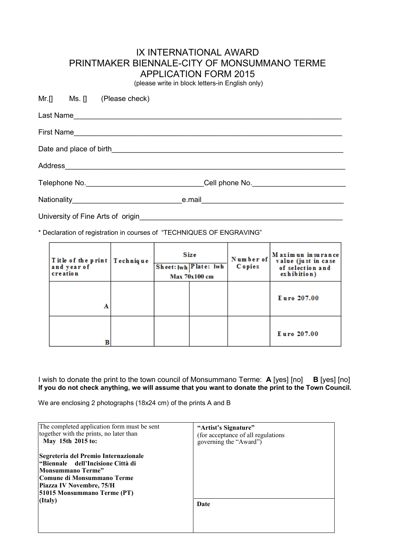## IX INTERNATIONAL AWARD PRINTMAKER BIENNALE-CITY OF MONSUMMANO TERME APPLICATION FORM 2015

(please write in block letters-in English only)

|                                   |  | Mr.[] Ms. [] (Please check) |  |                                                                                   |  |
|-----------------------------------|--|-----------------------------|--|-----------------------------------------------------------------------------------|--|
|                                   |  |                             |  |                                                                                   |  |
|                                   |  |                             |  |                                                                                   |  |
|                                   |  |                             |  |                                                                                   |  |
|                                   |  |                             |  |                                                                                   |  |
|                                   |  |                             |  | Telephone No. __________________________________Cell phone No. __________________ |  |
|                                   |  |                             |  |                                                                                   |  |
| University of Fine Arts of origin |  |                             |  |                                                                                   |  |

\* Declaration of registration in courses of "TECHNIQUES OF ENGRAVING"

| Title of the print   Technique<br>and year of<br>creation | Size<br>Sheet: lwh Plate: lwh<br>Max 70x100 cm |  | Number of<br><b>C</b> opies | Maximun in surance<br>value (just in case)<br>of selection and<br>exhibition) |
|-----------------------------------------------------------|------------------------------------------------|--|-----------------------------|-------------------------------------------------------------------------------|
| A                                                         |                                                |  |                             | Euro 207.00                                                                   |
|                                                           |                                                |  |                             | Euro 207.00                                                                   |

I wish to donate the print to the town council of Monsummano Terme: **A** [yes] [no] **B** [yes] [no] **If you do not check anything, we will assume that you want to donate the print to the Town Council.**

We are enclosing 2 photographs (18x24 cm) of the prints A and B

| The completed application form must be sent<br>together with the prints, no later than<br>May 15th 2015 to:                                                                                     | "Artist's Signature"<br>(for acceptance of all regulations)<br>governing the "Award") |  |  |
|-------------------------------------------------------------------------------------------------------------------------------------------------------------------------------------------------|---------------------------------------------------------------------------------------|--|--|
| Segreteria del Premio Internazionale<br>"Biennale dell'Incisione Città di<br><b>Monsummano Terme"</b><br> Comune di Monsummano Terme<br>Piazza IV Novembre, 75/H<br>51015 Monsummano Terme (PT) |                                                                                       |  |  |
| (Italy)                                                                                                                                                                                         | Date                                                                                  |  |  |
|                                                                                                                                                                                                 |                                                                                       |  |  |